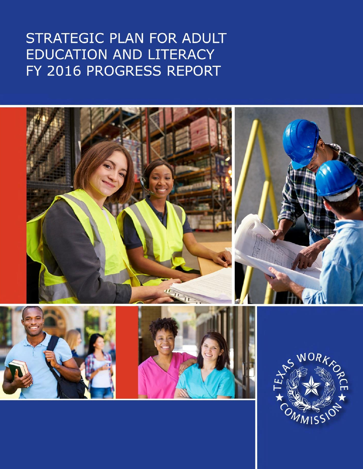# STRATEGIC PLAN FOR ADULT EDUCATION AND LITERACY FY 2016 PROGRESS REPORT

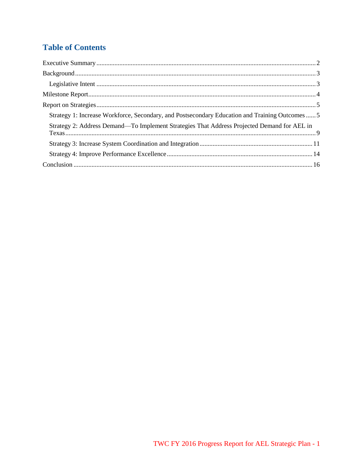# **Table of Contents**

| Strategy 1: Increase Workforce, Secondary, and Postsecondary Education and Training Outcomes  5 |  |
|-------------------------------------------------------------------------------------------------|--|
| Strategy 2: Address Demand-To Implement Strategies That Address Projected Demand for AEL in     |  |
|                                                                                                 |  |
|                                                                                                 |  |
|                                                                                                 |  |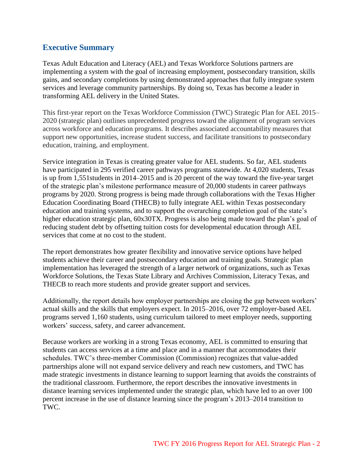## <span id="page-2-0"></span>**Executive Summary**

Texas Adult Education and Literacy (AEL) and Texas Workforce Solutions partners are implementing a system with the goal of increasing employment, postsecondary transition, skills gains, and secondary completions by using demonstrated approaches that fully integrate system services and leverage community partnerships. By doing so, Texas has become a leader in transforming AEL delivery in the United States.

This first-year report on the Texas Workforce Commission (TWC) Strategic Plan for AEL 2015– 2020 (strategic plan) outlines unprecedented progress toward the alignment of program services across workforce and education programs. It describes associated accountability measures that support new opportunities, increase student success, and facilitate transitions to postsecondary education, training, and employment.

Service integration in Texas is creating greater value for AEL students. So far, AEL students have participated in 295 verified career pathways programs statewide. At 4,020 students, Texas is up from 1,551students in 2014–2015 and is 20 percent of the way toward the five-year target of the strategic plan's milestone performance measure of 20,000 students in career pathways programs by 2020. Strong progress is being made through collaborations with the Texas Higher Education Coordinating Board (THECB) to fully integrate AEL within Texas postsecondary education and training systems, and to support the overarching completion goal of the state's higher education strategic plan,  $60x30TX$ . Progress is also being made toward the plan's goal of reducing student debt by offsetting tuition costs for developmental education through AEL services that come at no cost to the student.

The report demonstrates how greater flexibility and innovative service options have helped students achieve their career and postsecondary education and training goals. Strategic plan implementation has leveraged the strength of a larger network of organizations, such as Texas Workforce Solutions, the Texas State Library and Archives Commission, Literacy Texas, and THECB to reach more students and provide greater support and services.

Additionally, the report details how employer partnerships are closing the gap between workers' actual skills and the skills that employers expect. In 2015–2016, over 72 employer-based AEL programs served 1,160 students, using curriculum tailored to meet employer needs, supporting workers' success, safety, and career advancement.

Because workers are working in a strong Texas economy, AEL is committed to ensuring that students can access services at a time and place and in a manner that accommodates their schedules. TWC's three-member Commission (Commission) recognizes that value-added partnerships alone will not expand service delivery and reach new customers, and TWC has made strategic investments in distance learning to support learning that avoids the constraints of the traditional classroom. Furthermore, the report describes the innovative investments in distance learning services implemented under the strategic plan, which have led to an over 100 percent increase in the use of distance learning since the program's 2013–2014 transition to TWC.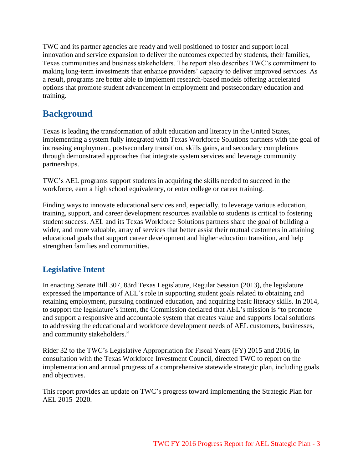TWC and its partner agencies are ready and well positioned to foster and support local innovation and service expansion to deliver the outcomes expected by students, their families, Texas communities and business stakeholders. The report also describes TWC's commitment to making long-term investments that enhance providers' capacity to deliver improved services. As a result, programs are better able to implement research-based models offering accelerated options that promote student advancement in employment and postsecondary education and training.

# <span id="page-3-0"></span>**Background**

Texas is leading the transformation of adult education and literacy in the United States, implementing a system fully integrated with Texas Workforce Solutions partners with the goal of increasing employment, postsecondary transition, skills gains, and secondary completions through demonstrated approaches that integrate system services and leverage community partnerships.

TWC's AEL programs support students in acquiring the skills needed to succeed in the workforce, earn a high school equivalency, or enter college or career training.

Finding ways to innovate educational services and, especially, to leverage various education, training, support, and career development resources available to students is critical to fostering student success. AEL and its Texas Workforce Solutions partners share the goal of building a wider, and more valuable, array of services that better assist their mutual customers in attaining educational goals that support career development and higher education transition, and help strengthen families and communities.

## <span id="page-3-1"></span>**Legislative Intent**

In enacting Senate Bill 307, 83rd Texas Legislature, Regular Session (2013), the legislature expressed the importance of AEL's role in supporting student goals related to obtaining and retaining employment, pursuing continued education, and acquiring basic literacy skills. In 2014, to support the legislature's intent, the Commission declared that AEL's mission is "to promote and support a responsive and accountable system that creates value and supports local solutions to addressing the educational and workforce development needs of AEL customers, businesses, and community stakeholders."

Rider 32 to the TWC's Legislative Appropriation for Fiscal Years (FY) 2015 and 2016, in consultation with the Texas Workforce Investment Council, directed TWC to report on the implementation and annual progress of a comprehensive statewide strategic plan, including goals and objectives.

This report provides an update on TWC's progress toward implementing the Strategic Plan for AEL 2015–2020.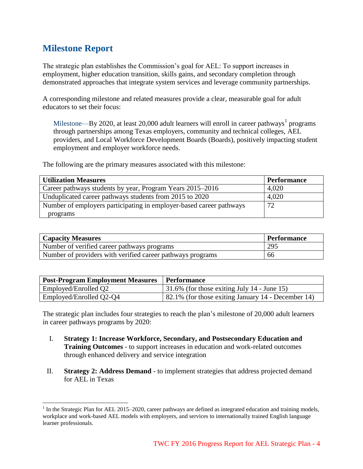# <span id="page-4-0"></span>**Milestone Report**

l

The strategic plan establishes the Commission's goal for AEL: To support increases in employment, higher education transition, skills gains, and secondary completion through demonstrated approaches that integrate system services and leverage community partnerships.

A corresponding milestone and related measures provide a clear, measurable goal for adult educators to set their focus:

Milestone—By 2020, at least 20,000 adult learners will enroll in career pathways<sup>1</sup> programs through partnerships among Texas employers, community and technical colleges, AEL providers, and Local Workforce Development Boards (Boards), positively impacting student employment and employer workforce needs.

The following are the primary measures associated with this milestone:

| <b>Utilization Measures</b>                                         | <b>Performance</b> |
|---------------------------------------------------------------------|--------------------|
| Career pathways students by year, Program Years 2015–2016           | 4,020              |
| Unduplicated career pathways students from 2015 to 2020             | 4,020              |
| Number of employers participating in employer-based career pathways | 72                 |
| programs                                                            |                    |

| <b>Capacity Measures</b>                                   | Performance |
|------------------------------------------------------------|-------------|
| Number of verified career pathways programs                | 295         |
| Number of providers with verified career pathways programs | 66          |

| Post-Program Employment Measures | <b>Performance</b>                                  |
|----------------------------------|-----------------------------------------------------|
| Employed/Enrolled Q2             | $\vert$ 31.6% (for those exiting July 14 - June 15) |
| Employed/Enrolled Q2-Q4          | 82.1% (for those exiting January 14 - December 14)  |

The strategic plan includes four strategies to reach the plan's milestone of 20,000 adult learners in career pathways programs by 2020:

- I. **Strategy 1: Increase Workforce, Secondary, and Postsecondary Education and Training Outcomes** - to support increases in education and work-related outcomes through enhanced delivery and service integration
- II. **Strategy 2: Address Demand** to implement strategies that address projected demand for AEL in Texas

 $1$  In the Strategic Plan for AEL 2015–2020, career pathways are defined as integrated education and training models, workplace and work-based AEL models with employers, and services to internationally trained English language learner professionals.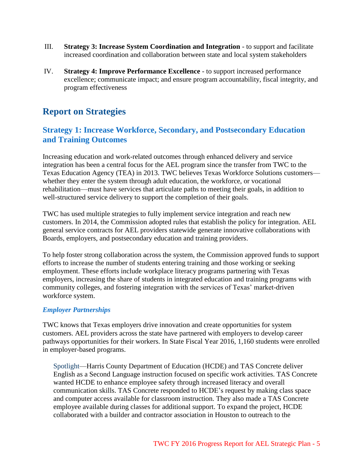- III. **Strategy 3: Increase System Coordination and Integration** to support and facilitate increased coordination and collaboration between state and local system stakeholders
- IV. **Strategy 4: Improve Performance Excellence** to support increased performance excellence; communicate impact; and ensure program accountability, fiscal integrity, and program effectiveness

# <span id="page-5-0"></span>**Report on Strategies**

## <span id="page-5-1"></span>**Strategy 1: Increase Workforce, Secondary, and Postsecondary Education and Training Outcomes**

Increasing education and work-related outcomes through enhanced delivery and service integration has been a central focus for the AEL program since the transfer from TWC to the Texas Education Agency (TEA) in 2013. TWC believes Texas Workforce Solutions customers whether they enter the system through adult education, the workforce, or vocational rehabilitation—must have services that articulate paths to meeting their goals, in addition to well-structured service delivery to support the completion of their goals.

TWC has used multiple strategies to fully implement service integration and reach new customers. In 2014, the Commission adopted rules that establish the policy for integration. AEL general service contracts for AEL providers statewide generate innovative collaborations with Boards, employers, and postsecondary education and training providers.

To help foster strong collaboration across the system, the Commission approved funds to support efforts to increase the number of students entering training and those working or seeking employment. These efforts include workplace literacy programs partnering with Texas employers, increasing the share of students in integrated education and training programs with community colleges, and fostering integration with the services of Texas' market-driven workforce system.

## *Employer Partnerships*

TWC knows that Texas employers drive innovation and create opportunities for system customers. AEL providers across the state have partnered with employers to develop career pathways opportunities for their workers. In State Fiscal Year 2016, 1,160 students were enrolled in employer-based programs.

Spotlight—Harris County Department of Education (HCDE) and TAS Concrete deliver English as a Second Language instruction focused on specific work activities. TAS Concrete wanted HCDE to enhance employee safety through increased literacy and overall communication skills. TAS Concrete responded to HCDE's request by making class space and computer access available for classroom instruction. They also made a TAS Concrete employee available during classes for additional support. To expand the project, HCDE collaborated with a builder and contractor association in Houston to outreach to the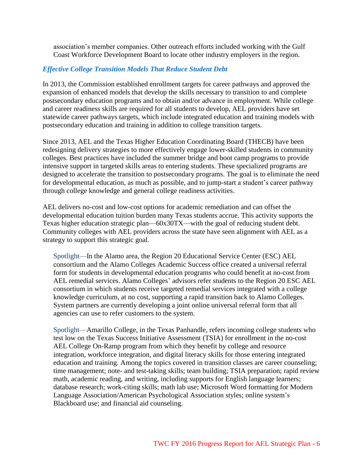association's member companies. Other outreach efforts included working with the Gulf Coast Workforce Development Board to locate other industry employers in the region.

## *Effective College Transition Models That Reduce Student Debt*

In 2013, the Commission established enrollment targets for career pathways and approved the expansion of enhanced models that develop the skills necessary to transition to and complete postsecondary education programs and to obtain and/or advance in employment. While college and career readiness skills are required for all students to develop, AEL providers have set statewide career pathways targets, which include integrated education and training models with postsecondary education and training in addition to college transition targets.

Since 2013, AEL and the Texas Higher Education Coordinating Board (THECB) have been redesigning delivery strategies to more effectively engage lower-skilled students in community colleges. Best practices have included the summer bridge and boot camp programs to provide intensive support in targeted skills areas to entering students. These specialized programs are designed to accelerate the transition to postsecondary programs. The goal is to eliminate the need for developmental education, as much as possible, and to jump-start a student's career pathway through college knowledge and general college readiness activities.

AEL delivers no-cost and low-cost options for academic remediation and can offset the developmental education tuition burden many Texas students accrue. This activity supports the Texas higher education strategic plan—60x30TX—with the goal of reducing student debt. Community colleges with AEL providers across the state have seen alignment with AEL as a strategy to support this strategic goal.

Spotlight—In the Alamo area, the Region 20 Educational Service Center (ESC) AEL consortium and the Alamo Colleges Academic Success office created a universal referral form for students in developmental education programs who could benefit at no-cost from AEL remedial services. Alamo Colleges' advisors refer students to the Region 20 ESC AEL consortium in which students receive targeted remedial services integrated with a college knowledge curriculum, at no cost, supporting a rapid transition back to Alamo Colleges. System partners are currently developing a joint online universal referral form that all agencies can use to refer customers to the system.

Spotlight—Amarillo College, in the Texas Panhandle, refers incoming college students who test low on the Texas Success Initiative Assessment (TSIA) for enrollment in the no-cost AEL College On-Ramp program from which they benefit by college and resource integration, workforce integration, and digital literacy skills for those entering integrated education and training. Among the topics covered in transition classes are career counseling; time management; note- and test-taking skills; team building; TSIA preparation; rapid review math, academic reading, and writing, including supports for English language learners; database research; work-citing skills; math lab use; Microsoft Word formatting for Modern Language Association/American Psychological Association styles; online system's Blackboard use; and financial aid counseling.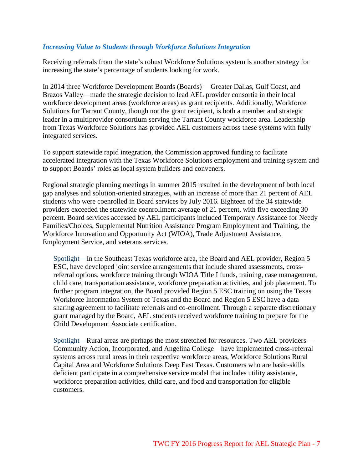### *Increasing Value to Students through Workforce Solutions Integration*

Receiving referrals from the state's robust Workforce Solutions system is another strategy for increasing the state's percentage of students looking for work.

In 2014 three Workforce Development Boards (Boards) —Greater Dallas, Gulf Coast, and Brazos Valley—made the strategic decision to lead AEL provider consortia in their local workforce development areas (workforce areas) as grant recipients. Additionally, Workforce Solutions for Tarrant County, though not the grant recipient, is both a member and strategic leader in a multiprovider consortium serving the Tarrant County workforce area. Leadership from Texas Workforce Solutions has provided AEL customers across these systems with fully integrated services.

To support statewide rapid integration, the Commission approved funding to facilitate accelerated integration with the Texas Workforce Solutions employment and training system and to support Boards' roles as local system builders and conveners.

Regional strategic planning meetings in summer 2015 resulted in the development of both local gap analyses and solution-oriented strategies, with an increase of more than 21 percent of AEL students who were coenrolled in Board services by July 2016. Eighteen of the 34 statewide providers exceeded the statewide coenrollment average of 21 percent, with five exceeding 30 percent. Board services accessed by AEL participants included Temporary Assistance for Needy Families/Choices, Supplemental Nutrition Assistance Program Employment and Training, the Workforce Innovation and Opportunity Act (WIOA), Trade Adjustment Assistance, Employment Service, and veterans services.

Spotlight—In the Southeast Texas workforce area, the Board and AEL provider, Region 5 ESC, have developed joint service arrangements that include shared assessments, crossreferral options, workforce training through WIOA Title I funds, training, case management, child care, transportation assistance, workforce preparation activities, and job placement. To further program integration, the Board provided Region 5 ESC training on using the Texas Workforce Information System of Texas and the Board and Region 5 ESC have a data sharing agreement to facilitate referrals and co-enrollment. Through a separate discretionary grant managed by the Board, AEL students received workforce training to prepare for the Child Development Associate certification.

Spotlight—Rural areas are perhaps the most stretched for resources. Two AEL providers— Community Action, Incorporated, and Angelina College—have implemented cross-referral systems across rural areas in their respective workforce areas, Workforce Solutions Rural Capital Area and Workforce Solutions Deep East Texas. Customers who are basic-skills deficient participate in a comprehensive service model that includes utility assistance, workforce preparation activities, child care, and food and transportation for eligible customers.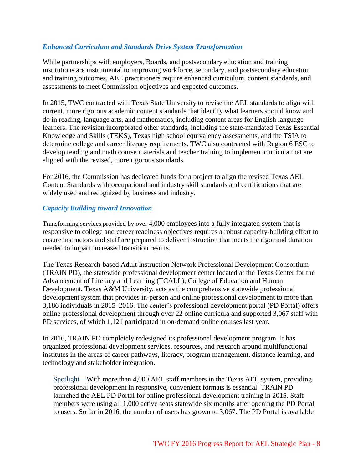## *Enhanced Curriculum and Standards Drive System Transformation*

While partnerships with employers, Boards, and postsecondary education and training institutions are instrumental to improving workforce, secondary, and postsecondary education and training outcomes, AEL practitioners require enhanced curriculum, content standards, and assessments to meet Commission objectives and expected outcomes.

In 2015, TWC contracted with Texas State University to revise the AEL standards to align with current, more rigorous academic content standards that identify what learners should know and do in reading, language arts, and mathematics, including content areas for English language learners. The revision incorporated other standards, including the state-mandated Texas Essential Knowledge and Skills (TEKS), Texas high school equivalency assessments, and the TSIA to determine college and career literacy requirements. TWC also contracted with Region 6 ESC to develop reading and math course materials and teacher training to implement curricula that are aligned with the revised, more rigorous standards.

For 2016, the Commission has dedicated funds for a project to align the revised Texas AEL Content Standards with occupational and industry skill standards and certifications that are widely used and recognized by business and industry.

### *Capacity Building toward Innovation*

Transforming services provided by over 4,000 employees into a fully integrated system that is responsive to college and career readiness objectives requires a robust capacity-building effort to ensure instructors and staff are prepared to deliver instruction that meets the rigor and duration needed to impact increased transition results.

The Texas Research-based Adult Instruction Network Professional Development Consortium (TRAIN PD), the statewide professional development center located at the Texas Center for the Advancement of Literacy and Learning (TCALL), College of Education and Human Development, Texas A&M University, acts as the comprehensive statewide professional development system that provides in-person and online professional development to more than 3,186 individuals in 2015–2016. The center's professional development portal (PD Portal) offers online professional development through over 22 online curricula and supported 3,067 staff with PD services, of which 1,121 participated in on-demand online courses last year.

In 2016, TRAIN PD completely redesigned its professional development program. It has organized professional development services, resources, and research around multifunctional institutes in the areas of career pathways, literacy, program management, distance learning, and technology and stakeholder integration.

Spotlight—With more than 4,000 AEL staff members in the Texas AEL system, providing professional development in responsive, convenient formats is essential. TRAIN PD launched the AEL PD Portal for online professional development training in 2015. Staff members were using all 1,000 active seats statewide six months after opening the PD Portal to users. So far in 2016, the number of users has grown to 3,067. The PD Portal is available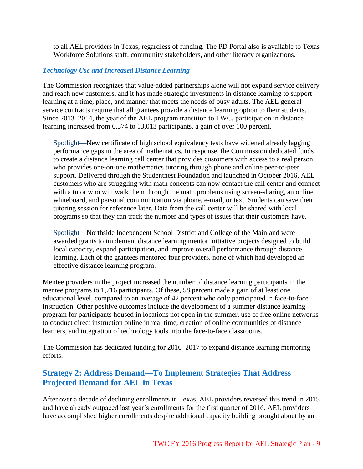to all AEL providers in Texas, regardless of funding. The PD Portal also is available to Texas Workforce Solutions staff, community stakeholders, and other literacy organizations.

## *Technology Use and Increased Distance Learning*

The Commission recognizes that value-added partnerships alone will not expand service delivery and reach new customers, and it has made strategic investments in distance learning to support learning at a time, place, and manner that meets the needs of busy adults. The AEL general service contracts require that all grantees provide a distance learning option to their students. Since 2013–2014, the year of the AEL program transition to TWC, participation in distance learning increased from 6,574 to 13,013 participants, a gain of over 100 percent.

Spotlight—New certificate of high school equivalency tests have widened already lagging performance gaps in the area of mathematics. In response, the Commission dedicated funds to create a distance learning call center that provides customers with access to a real person who provides one-on-one mathematics tutoring through phone and online peer-to-peer support. Delivered through the Studentnest Foundation and launched in October 2016, AEL customers who are struggling with math concepts can now contact the call center and connect with a tutor who will walk them through the math problems using screen-sharing, an online whiteboard, and personal communication via phone, e-mail, or text. Students can save their tutoring session for reference later. Data from the call center will be shared with local programs so that they can track the number and types of issues that their customers have.

Spotlight—Northside Independent School District and College of the Mainland were awarded grants to implement distance learning mentor initiative projects designed to build local capacity, expand participation, and improve overall performance through distance learning. Each of the grantees mentored four providers, none of which had developed an effective distance learning program.

Mentee providers in the project increased the number of distance learning participants in the mentee programs to 1,716 participants. Of these, 58 percent made a gain of at least one educational level, compared to an average of 42 percent who only participated in face-to-face instruction. Other positive outcomes include the development of a summer distance learning program for participants housed in locations not open in the summer, use of free online networks to conduct direct instruction online in real time, creation of online communities of distance learners, and integration of technology tools into the face-to-face classrooms.

The Commission has dedicated funding for 2016–2017 to expand distance learning mentoring efforts.

## <span id="page-9-0"></span>**Strategy 2: Address Demand—To Implement Strategies That Address Projected Demand for AEL in Texas**

After over a decade of declining enrollments in Texas, AEL providers reversed this trend in 2015 and have already outpaced last year's enrollments for the first quarter of 2016. AEL providers have accomplished higher enrollments despite additional capacity building brought about by an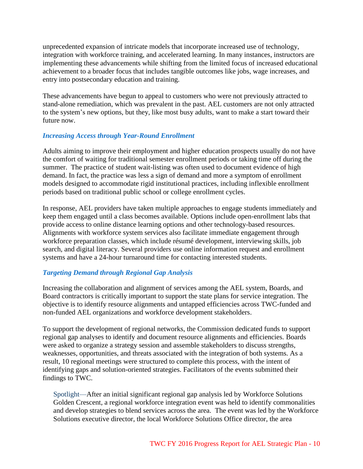unprecedented expansion of intricate models that incorporate increased use of technology, integration with workforce training, and accelerated learning. In many instances, instructors are implementing these advancements while shifting from the limited focus of increased educational achievement to a broader focus that includes tangible outcomes like jobs, wage increases, and entry into postsecondary education and training.

These advancements have begun to appeal to customers who were not previously attracted to stand-alone remediation, which was prevalent in the past. AEL customers are not only attracted to the system's new options, but they, like most busy adults, want to make a start toward their future now.

## *Increasing Access through Year-Round Enrollment*

Adults aiming to improve their employment and higher education prospects usually do not have the comfort of waiting for traditional semester enrollment periods or taking time off during the summer. The practice of student wait-listing was often used to document evidence of high demand. In fact, the practice was less a sign of demand and more a symptom of enrollment models designed to accommodate rigid institutional practices, including inflexible enrollment periods based on traditional public school or college enrollment cycles.

In response, AEL providers have taken multiple approaches to engage students immediately and keep them engaged until a class becomes available. Options include open-enrollment labs that provide access to online distance learning options and other technology-based resources. Alignments with workforce system services also facilitate immediate engagement through workforce preparation classes, which include résumé development, interviewing skills, job search, and digital literacy. Several providers use online information request and enrollment systems and have a 24-hour turnaround time for contacting interested students.

## *Targeting Demand through Regional Gap Analysis*

Increasing the collaboration and alignment of services among the AEL system, Boards, and Board contractors is critically important to support the state plans for service integration. The objective is to identify resource alignments and untapped efficiencies across TWC-funded and non-funded AEL organizations and workforce development stakeholders.

To support the development of regional networks, the Commission dedicated funds to support regional gap analyses to identify and document resource alignments and efficiencies. Boards were asked to organize a strategy session and assemble stakeholders to discuss strengths, weaknesses, opportunities, and threats associated with the integration of both systems. As a result, 10 regional meetings were structured to complete this process, with the intent of identifying gaps and solution-oriented strategies. Facilitators of the events submitted their findings to TWC.

Spotlight—After an initial significant regional gap analysis led by Workforce Solutions Golden Crescent, a regional workforce integration event was held to identify commonalities and develop strategies to blend services across the area. The event was led by the Workforce Solutions executive director, the local Workforce Solutions Office director, the area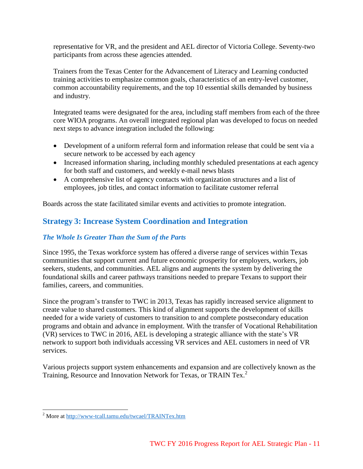representative for VR, and the president and AEL director of Victoria College. Seventy-two participants from across these agencies attended.

Trainers from the Texas Center for the Advancement of Literacy and Learning conducted training activities to emphasize common goals, characteristics of an entry-level customer, common accountability requirements, and the top 10 essential skills demanded by business and industry.

Integrated teams were designated for the area, including staff members from each of the three core WIOA programs. An overall integrated regional plan was developed to focus on needed next steps to advance integration included the following:

- Development of a uniform referral form and information release that could be sent via a secure network to be accessed by each agency
- Increased information sharing, including monthly scheduled presentations at each agency for both staff and customers, and weekly e-mail news blasts
- A comprehensive list of agency contacts with organization structures and a list of employees, job titles, and contact information to facilitate customer referral

<span id="page-11-0"></span>Boards across the state facilitated similar events and activities to promote integration.

## **Strategy 3: Increase System Coordination and Integration**

## *The Whole Is Greater Than the Sum of the Parts*

Since 1995, the Texas workforce system has offered a diverse range of services within Texas communities that support current and future economic prosperity for employers, workers, job seekers, students, and communities. AEL aligns and augments the system by delivering the foundational skills and career pathways transitions needed to prepare Texans to support their families, careers, and communities.

Since the program's transfer to TWC in 2013, Texas has rapidly increased service alignment to create value to shared customers. This kind of alignment supports the development of skills needed for a wide variety of customers to transition to and complete postsecondary education programs and obtain and advance in employment. With the transfer of Vocational Rehabilitation (VR) services to TWC in 2016, AEL is developing a strategic alliance with the state's VR network to support both individuals accessing VR services and AEL customers in need of VR services.

Various projects support system enhancements and expansion and are collectively known as the Training, Resource and Innovation Network for Texas, or TRAIN Tex.<sup>2</sup>

<sup>&</sup>lt;sup>2</sup> More a[t http://www-tcall.tamu.edu/twcael/TRAINTex.htm](http://www-tcall.tamu.edu/twcael/TRAINTex.htm)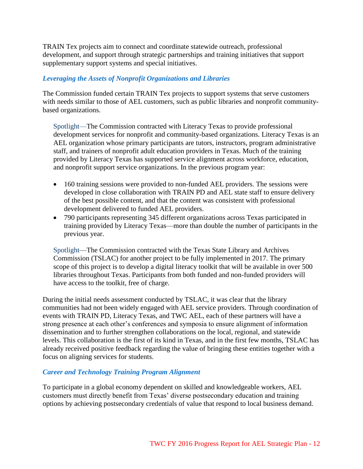TRAIN Tex projects aim to connect and coordinate statewide outreach, professional development, and support through strategic partnerships and training initiatives that support supplementary support systems and special initiatives.

## *Leveraging the Assets of Nonprofit Organizations and Libraries*

The Commission funded certain TRAIN Tex projects to support systems that serve customers with needs similar to those of AEL customers, such as public libraries and nonprofit communitybased organizations.

Spotlight—The Commission contracted with Literacy Texas to provide professional development services for nonprofit and community-based organizations. Literacy Texas is an AEL organization whose primary participants are tutors, instructors, program administrative staff, and trainers of nonprofit adult education providers in Texas. Much of the training provided by Literacy Texas has supported service alignment across workforce, education, and nonprofit support service organizations. In the previous program year:

- 160 training sessions were provided to non-funded AEL providers. The sessions were developed in close collaboration with TRAIN PD and AEL state staff to ensure delivery of the best possible content, and that the content was consistent with professional development delivered to funded AEL providers.
- 790 participants representing 345 different organizations across Texas participated in training provided by Literacy Texas—more than double the number of participants in the previous year.

Spotlight—The Commission contracted with the Texas State Library and Archives Commission (TSLAC) for another project to be fully implemented in 2017. The primary scope of this project is to develop a digital literacy toolkit that will be available in over 500 libraries throughout Texas. Participants from both funded and non-funded providers will have access to the toolkit, free of charge.

During the initial needs assessment conducted by TSLAC, it was clear that the library communities had not been widely engaged with AEL service providers. Through coordination of events with TRAIN PD, Literacy Texas, and TWC AEL, each of these partners will have a strong presence at each other's conferences and symposia to ensure alignment of information dissemination and to further strengthen collaborations on the local, regional, and statewide levels. This collaboration is the first of its kind in Texas, and in the first few months, TSLAC has already received positive feedback regarding the value of bringing these entities together with a focus on aligning services for students.

### *Career and Technology Training Program Alignment*

To participate in a global economy dependent on skilled and knowledgeable workers, AEL customers must directly benefit from Texas' diverse postsecondary education and training options by achieving postsecondary credentials of value that respond to local business demand.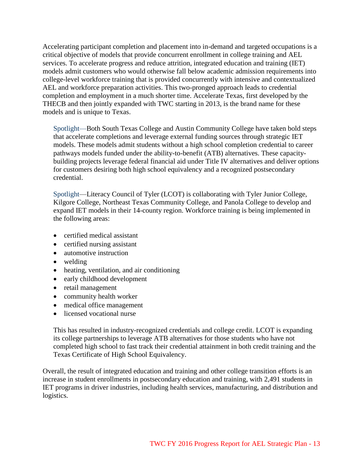Accelerating participant completion and placement into in-demand and targeted occupations is a critical objective of models that provide concurrent enrollment in college training and AEL services. To accelerate progress and reduce attrition, integrated education and training (IET) models admit customers who would otherwise fall below academic admission requirements into college-level workforce training that is provided concurrently with intensive and contextualized AEL and workforce preparation activities. This two-pronged approach leads to credential completion and employment in a much shorter time. Accelerate Texas, first developed by the THECB and then jointly expanded with TWC starting in 2013, is the brand name for these models and is unique to Texas.

Spotlight—Both South Texas College and Austin Community College have taken bold steps that accelerate completions and leverage external funding sources through strategic IET models. These models admit students without a high school completion credential to career pathways models funded under the ability-to-benefit (ATB) alternatives. These capacitybuilding projects leverage federal financial aid under Title IV alternatives and deliver options for customers desiring both high school equivalency and a recognized postsecondary credential.

Spotlight—Literacy Council of Tyler (LCOT) is collaborating with Tyler Junior College, Kilgore College, Northeast Texas Community College, and Panola College to develop and expand IET models in their 14-county region. Workforce training is being implemented in the following areas:

- certified medical assistant
- certified nursing assistant
- automotive instruction
- welding
- heating, ventilation, and air conditioning
- early childhood development
- retail management
- community health worker
- medical office management
- licensed vocational nurse

This has resulted in industry-recognized credentials and college credit. LCOT is expanding its college partnerships to leverage ATB alternatives for those students who have not completed high school to fast track their credential attainment in both credit training and the Texas Certificate of High School Equivalency.

Overall, the result of integrated education and training and other college transition efforts is an increase in student enrollments in postsecondary education and training, with 2,491 students in IET programs in driver industries, including health services, manufacturing, and distribution and logistics.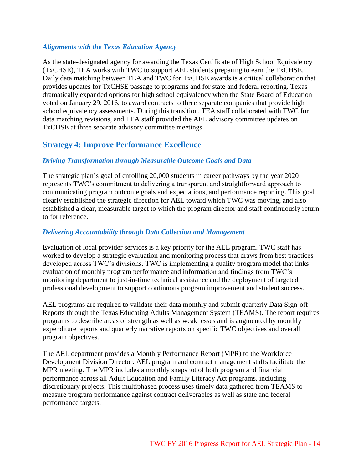### *Alignments with the Texas Education Agency*

As the state-designated agency for awarding the Texas Certificate of High School Equivalency (TxCHSE), TEA works with TWC to support AEL students preparing to earn the TxCHSE. Daily data matching between TEA and TWC for TxCHSE awards is a critical collaboration that provides updates for TxCHSE passage to programs and for state and federal reporting. Texas dramatically expanded options for high school equivalency when the State Board of Education voted on January 29, 2016, to award contracts to three separate companies that provide high school equivalency assessments. During this transition, TEA staff collaborated with TWC for data matching revisions, and TEA staff provided the AEL advisory committee updates on TxCHSE at three separate advisory committee meetings.

## <span id="page-14-0"></span>**Strategy 4: Improve Performance Excellence**

### *Driving Transformation through Measurable Outcome Goals and Data*

The strategic plan's goal of enrolling 20,000 students in career pathways by the year 2020 represents TWC's commitment to delivering a transparent and straightforward approach to communicating program outcome goals and expectations, and performance reporting. This goal clearly established the strategic direction for AEL toward which TWC was moving, and also established a clear, measurable target to which the program director and staff continuously return to for reference.

#### *Delivering Accountability through Data Collection and Management*

Evaluation of local provider services is a key priority for the AEL program. TWC staff has worked to develop a strategic evaluation and monitoring process that draws from best practices developed across TWC's divisions. TWC is implementing a quality program model that links evaluation of monthly program performance and information and findings from TWC's monitoring department to just-in-time technical assistance and the deployment of targeted professional development to support continuous program improvement and student success.

AEL programs are required to validate their data monthly and submit quarterly Data Sign-off Reports through the Texas Educating Adults Management System (TEAMS). The report requires programs to describe areas of strength as well as weaknesses and is augmented by monthly expenditure reports and quarterly narrative reports on specific TWC objectives and overall program objectives.

The AEL department provides a Monthly Performance Report (MPR) to the Workforce Development Division Director. AEL program and contract management staffs facilitate the MPR meeting. The MPR includes a monthly snapshot of both program and financial performance across all Adult Education and Family Literacy Act programs, including discretionary projects. This multiphased process uses timely data gathered from TEAMS to measure program performance against contract deliverables as well as state and federal performance targets.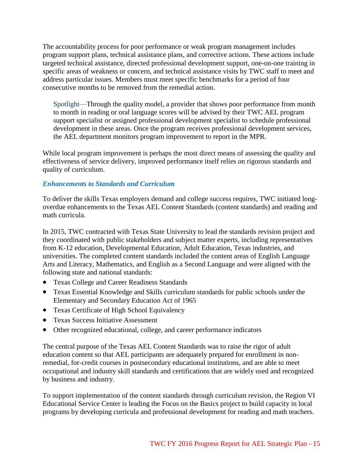The accountability process for poor performance or weak program management includes program support plans, technical assistance plans, and corrective actions. These actions include targeted technical assistance, directed professional development support, one-on-one training in specific areas of weakness or concern, and technical assistance visits by TWC staff to meet and address particular issues. Members must meet specific benchmarks for a period of four consecutive months to be removed from the remedial action.

Spotlight—Through the quality model, a provider that shows poor performance from month to month in reading or oral language scores will be advised by their TWC AEL program support specialist or assigned professional development specialist to schedule professional development in these areas. Once the program receives professional development services, the AEL department monitors program improvement to report in the MPR.

While local program improvement is perhaps the most direct means of assessing the quality and effectiveness of service delivery, improved performance itself relies on rigorous standards and quality of curriculum.

## *Enhancements to Standards and Curriculum*

To deliver the skills Texas employers demand and college success requires, TWC initiated longoverdue enhancements to the Texas AEL Content Standards (content standards) and reading and math curricula.

In 2015, TWC contracted with Texas State University to lead the standards revision project and they coordinated with public stakeholders and subject matter experts, including representatives from K-12 education, Developmental Education, Adult Education, Texas industries, and universities. The completed content standards included the content areas of English Language Arts and Literacy, Mathematics, and English as a Second Language and were aligned with the following state and national standards:

- Texas College and Career Readiness Standards
- Texas Essential Knowledge and Skills curriculum standards for public schools under the Elementary and Secondary Education Act of 1965
- Texas Certificate of High School Equivalency
- Texas Success Initiative Assessment
- Other recognized educational, college, and career performance indicators

The central purpose of the Texas AEL Content Standards was to raise the rigor of adult education content so that AEL participants are adequately prepared for enrollment in nonremedial, for-credit courses in postsecondary educational institutions, and are able to meet occupational and industry skill standards and certifications that are widely used and recognized by business and industry.

To support implementation of the content standards through curriculum revision, the Region VI Educational Service Center is leading the Focus on the Basics project to build capacity in local programs by developing curricula and professional development for reading and math teachers.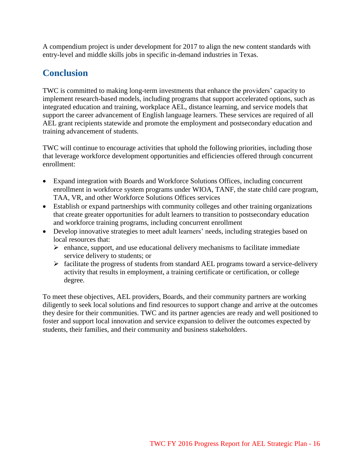A compendium project is under development for 2017 to align the new content standards with entry-level and middle skills jobs in specific in-demand industries in Texas.

# <span id="page-16-0"></span>**Conclusion**

TWC is committed to making long-term investments that enhance the providers' capacity to implement research-based models, including programs that support accelerated options, such as integrated education and training, workplace AEL, distance learning, and service models that support the career advancement of English language learners. These services are required of all AEL grant recipients statewide and promote the employment and postsecondary education and training advancement of students.

TWC will continue to encourage activities that uphold the following priorities, including those that leverage workforce development opportunities and efficiencies offered through concurrent enrollment:

- Expand integration with Boards and Workforce Solutions Offices, including concurrent enrollment in workforce system programs under WIOA, TANF, the state child care program, TAA, VR, and other Workforce Solutions Offices services
- Establish or expand partnerships with community colleges and other training organizations that create greater opportunities for adult learners to transition to postsecondary education and workforce training programs, including concurrent enrollment
- Develop innovative strategies to meet adult learners' needs, including strategies based on local resources that:
	- $\triangleright$  enhance, support, and use educational delivery mechanisms to facilitate immediate service delivery to students; or
	- facilitate the progress of students from standard AEL programs toward a service-delivery activity that results in employment, a training certificate or certification, or college degree.

To meet these objectives, AEL providers, Boards, and their community partners are working diligently to seek local solutions and find resources to support change and arrive at the outcomes they desire for their communities. TWC and its partner agencies are ready and well positioned to foster and support local innovation and service expansion to deliver the outcomes expected by students, their families, and their community and business stakeholders.